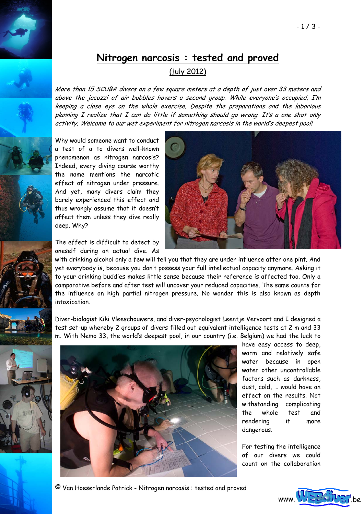## **Nitrogen narcosis : tested and proved**

## (july 2012)

More than 15 SCUBA divers on a few square meters at a depth of just over 33 meters and above the jacuzzi of air bubbles hovers a second group. While everyone's occupied, I'm keeping a close eye on the whole exercise. Despite the preparations and the laborious planning I realize that I can do little if something should go wrong. It's a one shot only activity. Welcome to our wet experiment for nitrogen narcosis in the world's deepest pool!

Why would someone want to conduct a test of a to divers well-known phenomenon as nitrogen narcosis? Indeed, every diving course worthy the name mentions the narcotic effect of nitrogen under pressure. And yet, many divers claim they barely experienced this effect and thus wrongly assume that it doesn't affect them unless they dive really deep. Why?

The effect is difficult to detect by oneself during an actual dive. As



with drinking alcohol only a few will tell you that they are under influence after one pint. And yet everybody is, because you don't possess your full intellectual capacity anymore. Asking it to your drinking buddies makes little sense because their reference is affected too. Only a comparative before and after test will uncover your reduced capacities. The same counts for the influence on high partial nitrogen pressure. No wonder this is also known as depth intoxication.

Diver-biologist Kiki Vleeschouwers, and diver-psychologist Leentje Vervoort and I designed a test set-up whereby 2 groups of divers filled out equivalent intelligence tests at 2 m and 33 m. With Nemo 33, the world's deepest pool, in our country (i.e. Belgium) we had the luck to





have easy access to deep, warm and relatively safe water because in open water other uncontrollable factors such as darkness, dust, cold, … would have an effect on the results. Not withstanding complicating the whole test and rendering it more dangerous.

For testing the intelligence of our divers we could count on the collaboration

© Van Hoeserlande Patrick - Nitrogen narcosis : tested and proved

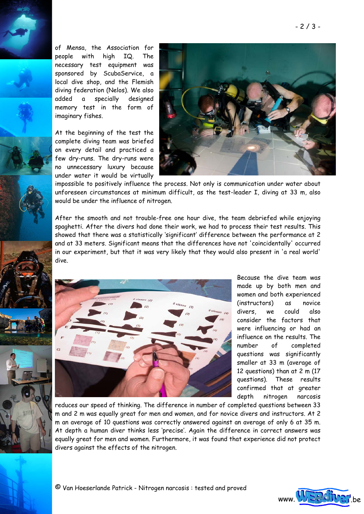of Mensa, the Association for people with high IQ. The necessary test equipment was sponsored by ScubaService, a local dive shop, and the Flemish diving federation (Nelos). We also added a specially designed memory test in the form of imaginary fishes.

At the beginning of the test the complete diving team was briefed on every detail and practiced a few dry-runs. The dry-runs were no unnecessary luxury because under water it would be virtually



impossible to positively influence the process. Not only is communication under water about unforeseen circumstances at minimum difficult, as the test-leader I, diving at 33 m, also would be under the influence of nitrogen.

After the smooth and not trouble-free one hour dive, the team debriefed while enjoying spaghetti. After the divers had done their work, we had to process their test results. This showed that there was a statistically 'significant' difference between the performance at 2 and at 33 meters. Significant means that the differences have not 'coincidentally' occurred in our experiment, but that it was very likely that they would also present in 'a real world' dive.





Because the dive team was made up by both men and women and both experienced (instructors) as novice divers, we could also consider the factors that were influencing or had an influence on the results. The number of completed questions was significantly smaller at 33 m (average of 12 questions) than at 2 m (17 questions). These results confirmed that at greater depth nitrogen narcosis

reduces our speed of thinking. The difference in number of completed questions between 33 m and 2 m was equally great for men and women, and for novice divers and instructors. At 2 m an average of 10 questions was correctly answered against an average of only 6 at 35 m. At depth a human diver thinks less 'precise'. Again the difference in correct answers was equally great for men and women. Furthermore, it was found that experience did not protect divers against the effects of the nitrogen.